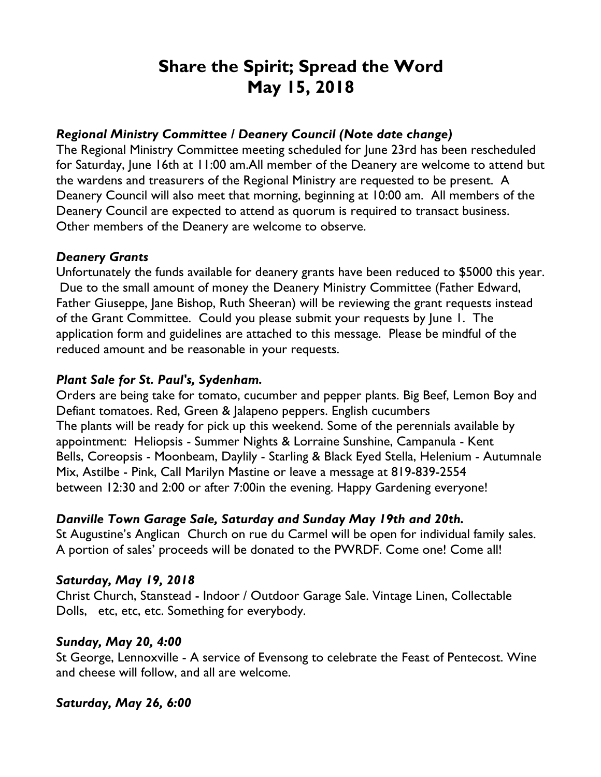# **Share the Spirit; Spread the Word May 15, 2018**

## *Regional Ministry Committee / Deanery Council (Note date change)*

The Regional Ministry Committee meeting scheduled for June 23rd has been rescheduled for Saturday, June 16th at 11:00 am.All member of the Deanery are welcome to attend but the wardens and treasurers of the Regional Ministry are requested to be present. A Deanery Council will also meet that morning, beginning at 10:00 am. All members of the Deanery Council are expected to attend as quorum is required to transact business. Other members of the Deanery are welcome to observe.

#### *Deanery Grants*

Unfortunately the funds available for deanery grants have been reduced to \$5000 this year. Due to the small amount of money the Deanery Ministry Committee (Father Edward, Father Giuseppe, Jane Bishop, Ruth Sheeran) will be reviewing the grant requests instead of the Grant Committee. Could you please submit your requests by June 1. The application form and guidelines are attached to this message. Please be mindful of the reduced amount and be reasonable in your requests.

# *Plant Sale for St. Paul's, Sydenham.*

Orders are being take for tomato, cucumber and pepper plants. Big Beef, Lemon Boy and Defiant tomatoes. Red, Green & Jalapeno peppers. English cucumbers The plants will be ready for pick up this weekend. Some of the perennials available by appointment: Heliopsis - Summer Nights & Lorraine Sunshine, Campanula - Kent Bells, Coreopsis - Moonbeam, Daylily - Starling & Black Eyed Stella, Helenium - Autumnale Mix, Astilbe - Pink, Call Marilyn Mastine or leave a message at 819-839-2554 between 12:30 and 2:00 or after 7:00in the evening. Happy Gardening everyone!

#### *Danville Town Garage Sale, Saturday and Sunday May 19th and 20th.*

St Augustine's Anglican Church on rue du Carmel will be open for individual family sales. A portion of sales' proceeds will be donated to the PWRDF. Come one! Come all!

#### *Saturday, May 19, 2018*

Christ Church, Stanstead - Indoor / Outdoor Garage Sale. Vintage Linen, Collectable Dolls, etc, etc, etc. Something for everybody.

#### *Sunday, May 20, 4:00*

St George, Lennoxville - A service of Evensong to celebrate the Feast of Pentecost. Wine and cheese will follow, and all are welcome.

#### *Saturday, May 26, 6:00*